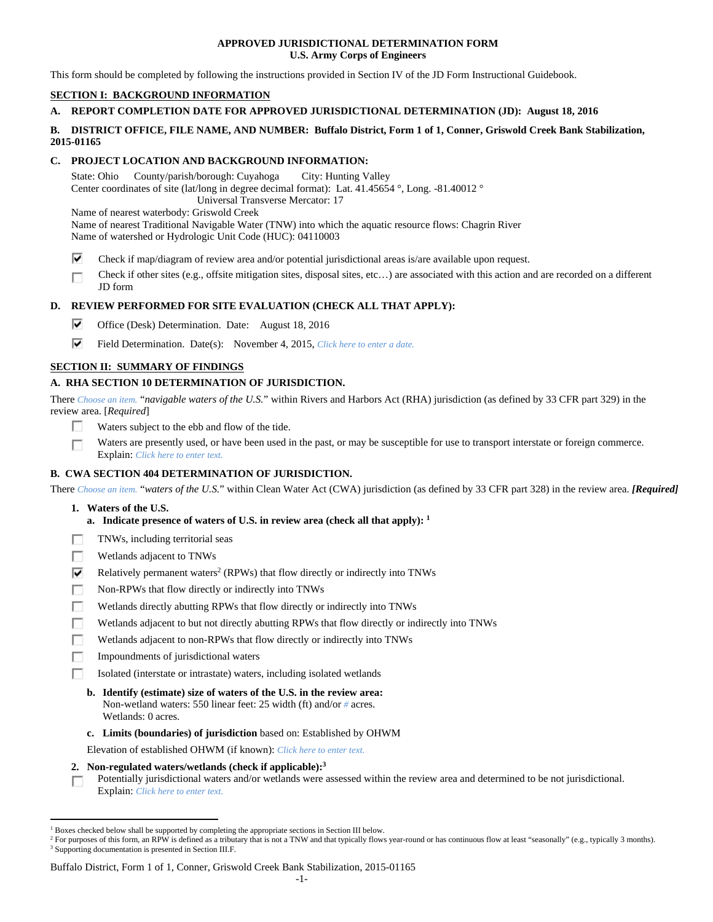### **APPROVED JURISDICTIONAL DETERMINATION FORM U.S. Army Corps of Engineers**

This form should be completed by following the instructions provided in Section IV of the JD Form Instructional Guidebook.

# **SECTION I: BACKGROUND INFORMATION**

# **A. REPORT COMPLETION DATE FOR APPROVED JURISDICTIONAL DETERMINATION (JD): August 18, 2016**

### **B. DISTRICT OFFICE, FILE NAME, AND NUMBER: Buffalo District, Form 1 of 1, Conner, Griswold Creek Bank Stabilization, 2015-01165**

# **C. PROJECT LOCATION AND BACKGROUND INFORMATION:**

State: Ohio County/parish/borough: Cuyahoga City: Hunting Valley Center coordinates of site (lat/long in degree decimal format): Lat. 41.45654 °, Long. -81.40012 ° Universal Transverse Mercator: 17

Name of nearest waterbody: Griswold Creek

Name of nearest Traditional Navigable Water (TNW) into which the aquatic resource flows: Chagrin River Name of watershed or Hydrologic Unit Code (HUC): 04110003

- ⊽ Check if map/diagram of review area and/or potential jurisdictional areas is/are available upon request.
- Check if other sites (e.g., offsite mitigation sites, disposal sites, etc…) are associated with this action and are recorded on a different г JD form

# **D. REVIEW PERFORMED FOR SITE EVALUATION (CHECK ALL THAT APPLY):**

- ⊽. Office (Desk) Determination. Date: August 18, 2016
- ⊽. Field Determination. Date(s): November 4, 2015, *Click here to enter a date.*

# **SECTION II: SUMMARY OF FINDINGS**

# **A. RHA SECTION 10 DETERMINATION OF JURISDICTION.**

There *Choose an item.* "*navigable waters of the U.S.*" within Rivers and Harbors Act (RHA) jurisdiction (as defined by 33 CFR part 329) in the review area. [*Required*]

- Г. Waters subject to the ebb and flow of the tide.
- Waters are presently used, or have been used in the past, or may be susceptible for use to transport interstate or foreign commerce. П Explain: *Click here to enter text.*

# **B. CWA SECTION 404 DETERMINATION OF JURISDICTION.**

There *Choose an item.* "*waters of the U.S.*" within Clean Water Act (CWA) jurisdiction (as defined by 33 CFR part 328) in the review area. *[Required]*

- **1. Waters of the U.S.** 
	- **a. Indicate presence of waters of U.S. in review area (check all that apply): 1**
- TNWs, including territorial seas Е
- Wetlands adjacent to TNWs п
- ⊽ Relatively permanent waters<sup>2</sup> (RPWs) that flow directly or indirectly into TNWs
- г Non-RPWs that flow directly or indirectly into TNWs
- Wetlands directly abutting RPWs that flow directly or indirectly into TNWs п
- Е Wetlands adjacent to but not directly abutting RPWs that flow directly or indirectly into TNWs
- г Wetlands adjacent to non-RPWs that flow directly or indirectly into TNWs
- п Impoundments of jurisdictional waters
- Isolated (interstate or intrastate) waters, including isolated wetlands П.
	- **b. Identify (estimate) size of waters of the U.S. in the review area:**  Non-wetland waters: 550 linear feet: 25 width (ft) and/or *#* acres. Wetlands: 0 acres.
	- **c. Limits (boundaries) of jurisdiction** based on: Established by OHWM

Elevation of established OHWM (if known): *Click here to enter text.*

 **2. Non-regulated waters/wetlands (check if applicable):3**

#### Buffalo District, Form 1 of 1, Conner, Griswold Creek Bank Stabilization, 2015-01165

Potentially jurisdictional waters and/or wetlands were assessed within the review area and determined to be not jurisdictional. П. Explain: *Click here to enter text.*

 $\overline{a}$ <sup>1</sup> Boxes checked below shall be supported by completing the appropriate sections in Section III below.<br><sup>2</sup> For purposes of this form, an PPW is defined as a tributary that is not a TNW and that typically flows

For purposes of this form, an RPW is defined as a tributary that is not a TNW and that typically flows year-round or has continuous flow at least "seasonally" (e.g., typically 3 months). <sup>3</sup> Supporting documentation is presented in Section III.F.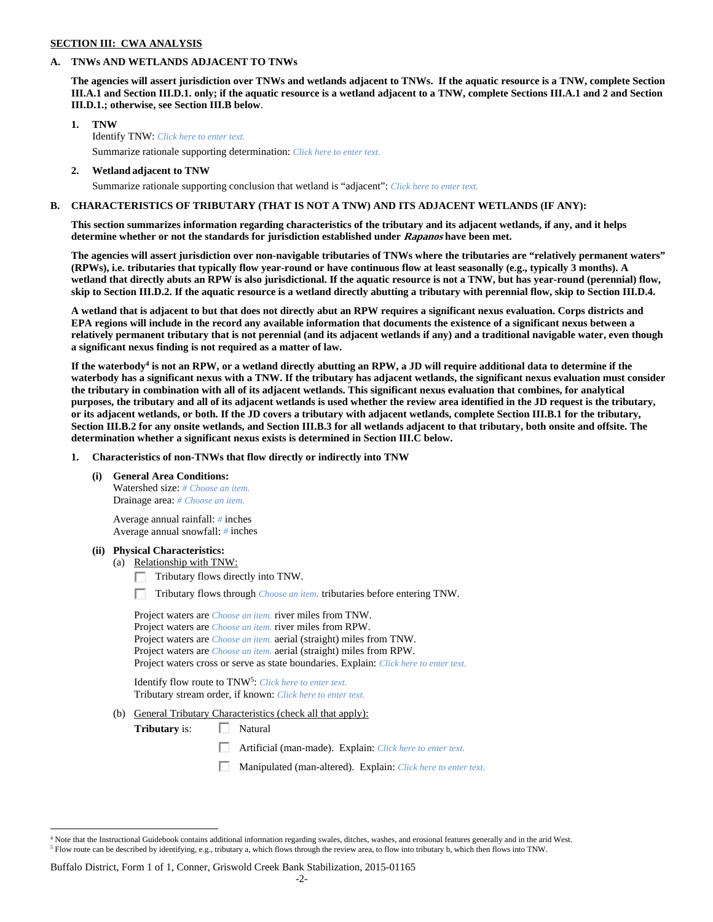### **SECTION III: CWA ANALYSIS**

#### **A. TNWs AND WETLANDS ADJACENT TO TNWs**

**The agencies will assert jurisdiction over TNWs and wetlands adjacent to TNWs. If the aquatic resource is a TNW, complete Section III.A.1 and Section III.D.1. only; if the aquatic resource is a wetland adjacent to a TNW, complete Sections III.A.1 and 2 and Section III.D.1.; otherwise, see Section III.B below**.

- **1. TNW**  Identify TNW: *Click here to enter text.*
	- Summarize rationale supporting determination: *Click here to enter text.*
- **2. Wetland adjacent to TNW**  Summarize rationale supporting conclusion that wetland is "adjacent": *Click here to enter text.*

### **B. CHARACTERISTICS OF TRIBUTARY (THAT IS NOT A TNW) AND ITS ADJACENT WETLANDS (IF ANY):**

**This section summarizes information regarding characteristics of the tributary and its adjacent wetlands, if any, and it helps determine whether or not the standards for jurisdiction established under Rapanos have been met.** 

**The agencies will assert jurisdiction over non-navigable tributaries of TNWs where the tributaries are "relatively permanent waters" (RPWs), i.e. tributaries that typically flow year-round or have continuous flow at least seasonally (e.g., typically 3 months). A wetland that directly abuts an RPW is also jurisdictional. If the aquatic resource is not a TNW, but has year-round (perennial) flow, skip to Section III.D.2. If the aquatic resource is a wetland directly abutting a tributary with perennial flow, skip to Section III.D.4.** 

**A wetland that is adjacent to but that does not directly abut an RPW requires a significant nexus evaluation. Corps districts and EPA regions will include in the record any available information that documents the existence of a significant nexus between a relatively permanent tributary that is not perennial (and its adjacent wetlands if any) and a traditional navigable water, even though a significant nexus finding is not required as a matter of law.** 

If the waterbody<sup>4</sup> is not an RPW, or a wetland directly abutting an RPW, a JD will require additional data to determine if the **waterbody has a significant nexus with a TNW. If the tributary has adjacent wetlands, the significant nexus evaluation must consider the tributary in combination with all of its adjacent wetlands. This significant nexus evaluation that combines, for analytical purposes, the tributary and all of its adjacent wetlands is used whether the review area identified in the JD request is the tributary, or its adjacent wetlands, or both. If the JD covers a tributary with adjacent wetlands, complete Section III.B.1 for the tributary, Section III.B.2 for any onsite wetlands, and Section III.B.3 for all wetlands adjacent to that tributary, both onsite and offsite. The determination whether a significant nexus exists is determined in Section III.C below.** 

 **1. Characteristics of non-TNWs that flow directly or indirectly into TNW** 

 **(i) General Area Conditions:** 

 Watershed size: *# Choose an item.* Drainage area: *# Choose an item.*

 Average annual rainfall: *#* inches Average annual snowfall: *#* inches

#### **(ii) Physical Characteristics:**

 $\overline{a}$ 

- (a) Relationship with TNW:
	- $\Box$  Tributary flows directly into TNW.

п Tributary flows through *Choose an item.* tributaries before entering TNW.

 Project waters are *Choose an item.* river miles from TNW. Project waters are *Choose an item.* river miles from RPW. Project waters are *Choose an item.* aerial (straight) miles from TNW. Project waters are *Choose an item.* aerial (straight) miles from RPW. Project waters cross or serve as state boundaries. Explain: *Click here to enter text.*

Identify flow route to TNW5: *Click here to enter text.* Tributary stream order, if known: *Click here to enter text.*

(b) General Tributary Characteristics (check all that apply):

**Tributary** is:  $\Box$  Natural

- 口 Artificial (man-made). Explain: *Click here to enter text.*
- Manipulated (man-altered). Explain: *Click here to enter text.*

#### Buffalo District, Form 1 of 1, Conner, Griswold Creek Bank Stabilization, 2015-01165

<sup>4</sup> Note that the Instructional Guidebook contains additional information regarding swales, ditches, washes, and erosional features generally and in the arid West.  $^5$  Flow route can be described by identifying, e.g., tributary a, which flows through the review area, to flow into tributary b, which then flows into TNW.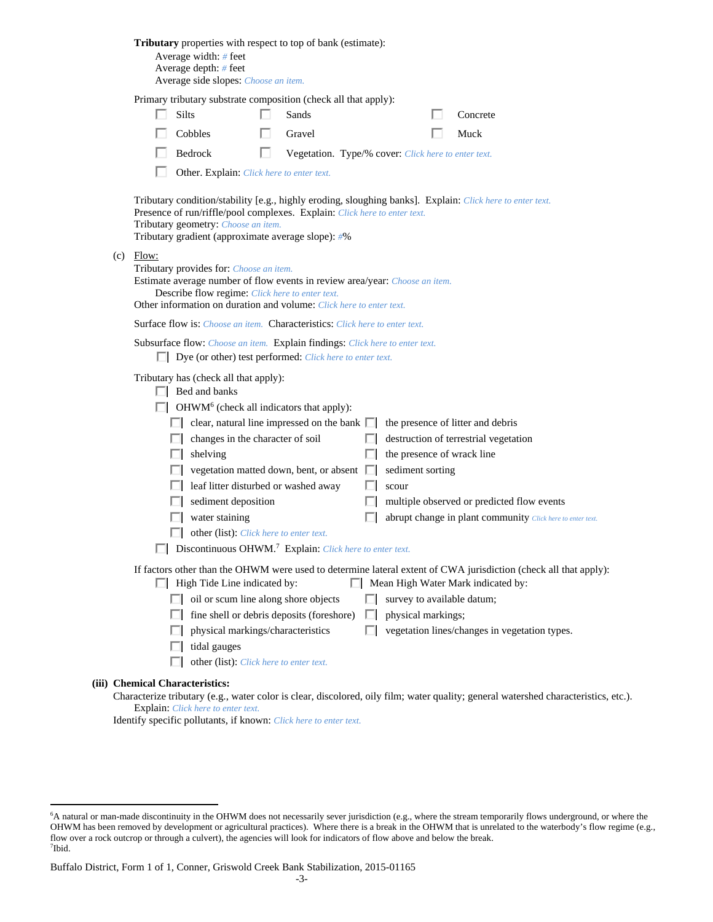| <b>Tributary</b> properties with respect to top of bank (estimate):<br>Average width: $#$ feet<br>Average depth: # feet<br>Average side slopes: Choose an item.                                                                                                                                                                                                                                                                                                                                                                                                                                                                                                                                                                                                                                                                                         |
|---------------------------------------------------------------------------------------------------------------------------------------------------------------------------------------------------------------------------------------------------------------------------------------------------------------------------------------------------------------------------------------------------------------------------------------------------------------------------------------------------------------------------------------------------------------------------------------------------------------------------------------------------------------------------------------------------------------------------------------------------------------------------------------------------------------------------------------------------------|
| Primary tributary substrate composition (check all that apply):                                                                                                                                                                                                                                                                                                                                                                                                                                                                                                                                                                                                                                                                                                                                                                                         |
| Silts<br>Sands<br>Concrete                                                                                                                                                                                                                                                                                                                                                                                                                                                                                                                                                                                                                                                                                                                                                                                                                              |
| Cobbles<br>Gravel<br>Muck                                                                                                                                                                                                                                                                                                                                                                                                                                                                                                                                                                                                                                                                                                                                                                                                                               |
| Bedrock<br>Vegetation. Type/% cover: Click here to enter text.                                                                                                                                                                                                                                                                                                                                                                                                                                                                                                                                                                                                                                                                                                                                                                                          |
| Other. Explain: Click here to enter text.                                                                                                                                                                                                                                                                                                                                                                                                                                                                                                                                                                                                                                                                                                                                                                                                               |
| Tributary condition/stability [e.g., highly eroding, sloughing banks]. Explain: Click here to enter text.<br>Presence of run/riffle/pool complexes. Explain: Click here to enter text.<br>Tributary geometry: Choose an item.<br>Tributary gradient (approximate average slope): #%                                                                                                                                                                                                                                                                                                                                                                                                                                                                                                                                                                     |
| $(c)$ Flow:<br>Tributary provides for: Choose an item.<br>Estimate average number of flow events in review area/year: Choose an item.<br>Describe flow regime: Click here to enter text.<br>Other information on duration and volume: Click here to enter text.                                                                                                                                                                                                                                                                                                                                                                                                                                                                                                                                                                                         |
| <b>Surface flow is:</b> Choose an item. <b>Characteristics:</b> Click here to enter text.                                                                                                                                                                                                                                                                                                                                                                                                                                                                                                                                                                                                                                                                                                                                                               |
| Subsurface flow: Choose an item. Explain findings: Click here to enter text.<br>$\Box$ Dye (or other) test performed: <i>Click here to enter text</i> .                                                                                                                                                                                                                                                                                                                                                                                                                                                                                                                                                                                                                                                                                                 |
| Tributary has (check all that apply):<br>$\Box$ Bed and banks<br>OHWM <sup>6</sup> (check all indicators that apply):<br>clear, natural line impressed on the bank $\Box$<br>the presence of litter and debris<br>changes in the character of soil<br>destruction of terrestrial vegetation<br>the presence of wrack line<br>shelving<br>vegetation matted down, bent, or absent $\Box$<br>sediment sorting<br>leaf litter disturbed or washed away<br>scour<br>sediment deposition<br>multiple observed or predicted flow events<br>water staining<br>abrupt change in plant community Click here to enter text.<br>other (list): Click here to enter text.<br>Discontinuous OHWM. <sup>7</sup> Explain: Click here to enter text.<br>If factors other than the OHWM were used to determine lateral extent of CWA jurisdiction (check all that apply): |
| Mean High Water Mark indicated by:<br>$\Box$ High Tide Line indicated by:                                                                                                                                                                                                                                                                                                                                                                                                                                                                                                                                                                                                                                                                                                                                                                               |
| $\Box$ oil or scum line along shore objects<br>survey to available datum;                                                                                                                                                                                                                                                                                                                                                                                                                                                                                                                                                                                                                                                                                                                                                                               |
| fine shell or debris deposits (foreshore)<br>physical markings;<br>$\mathbb{R}^n$                                                                                                                                                                                                                                                                                                                                                                                                                                                                                                                                                                                                                                                                                                                                                                       |
| physical markings/characteristics<br>vegetation lines/changes in vegetation types.                                                                                                                                                                                                                                                                                                                                                                                                                                                                                                                                                                                                                                                                                                                                                                      |
| tidal gauges                                                                                                                                                                                                                                                                                                                                                                                                                                                                                                                                                                                                                                                                                                                                                                                                                                            |
| other (list): Click here to enter text.                                                                                                                                                                                                                                                                                                                                                                                                                                                                                                                                                                                                                                                                                                                                                                                                                 |
| (iii) Chemical Characteristics:                                                                                                                                                                                                                                                                                                                                                                                                                                                                                                                                                                                                                                                                                                                                                                                                                         |
| Characterize tributary (e.g., water color is clear, discolored, oily film; water quality; general watershed characteristics, etc.).                                                                                                                                                                                                                                                                                                                                                                                                                                                                                                                                                                                                                                                                                                                     |

Explain: *Click here to enter text.* Identify specific pollutants, if known: *Click here to enter text.*

 $\overline{a}$ 

<sup>6</sup> A natural or man-made discontinuity in the OHWM does not necessarily sever jurisdiction (e.g., where the stream temporarily flows underground, or where the OHWM has been removed by development or agricultural practices). Where there is a break in the OHWM that is unrelated to the waterbody's flow regime (e.g., flow over a rock outcrop or through a culvert), the agencies will look for indicators of flow above and below the break. 7 Ibid.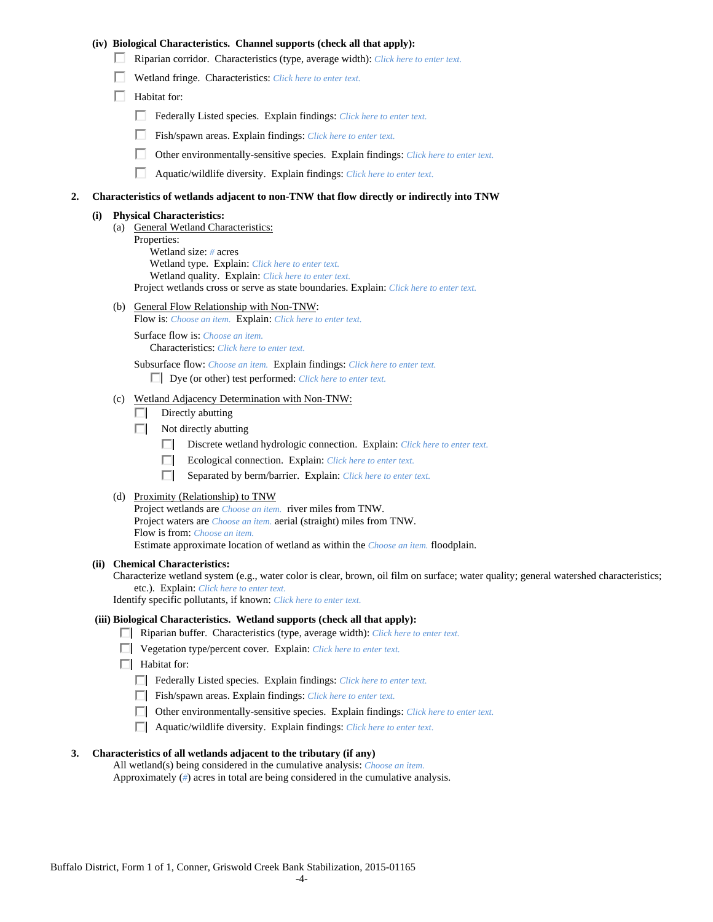### **(iv) Biological Characteristics. Channel supports (check all that apply):**

- Riparian corridor. Characteristics (type, average width): *Click here to enter text.*
- Wetland fringe. Characteristics: *Click here to enter text.*
- $\Box$  Habitat for:
	- Federally Listed species. Explain findings: *Click here to enter text*.
	- п. Fish/spawn areas. Explain findings: *Click here to enter text.*
	- п. Other environmentally-sensitive species. Explain findings: *Click here to enter text.*
	- п. Aquatic/wildlife diversity. Explain findings: *Click here to enter text.*

#### **2. Characteristics of wetlands adjacent to non-TNW that flow directly or indirectly into TNW**

#### **(i) Physical Characteristics:**

- (a) General Wetland Characteristics:
	- Properties:

 Wetland size: *#* acres Wetland type. Explain: *Click here to enter text.*

Wetland quality. Explain: *Click here to enter text.*

Project wetlands cross or serve as state boundaries. Explain: *Click here to enter text.*

(b) General Flow Relationship with Non-TNW: Flow is: *Choose an item.* Explain: *Click here to enter text.*

 Surface flow is: *Choose an item.* Characteristics: *Click here to enter text.*

Subsurface flow: *Choose an item.* Explain findings: *Click here to enter text.*

Dye (or other) test performed: *Click here to enter text.*

#### (c) Wetland Adjacency Determination with Non-TNW:

- $\Box$  Directly abutting
- $\Box$  Not directly abutting
	- п. Discrete wetland hydrologic connection. Explain: *Click here to enter text.*
	- Ecological connection. Explain: *Click here to enter text.* O.
	- O. Separated by berm/barrier. Explain: *Click here to enter text.*
- (d) Proximity (Relationship) to TNW

Project wetlands are *Choose an item.* river miles from TNW. Project waters are *Choose an item.* aerial (straight) miles from TNW. Flow is from: *Choose an item.* Estimate approximate location of wetland as within the *Choose an item.* floodplain.

#### **(ii) Chemical Characteristics:**

Characterize wetland system (e.g., water color is clear, brown, oil film on surface; water quality; general watershed characteristics; etc.). Explain: *Click here to enter text.*

Identify specific pollutants, if known: *Click here to enter text.*

### **(iii) Biological Characteristics. Wetland supports (check all that apply):**

- Riparian buffer. Characteristics (type, average width): *Click here to enter text.*
- Vegetation type/percent cover. Explain: *Click here to enter text.*
- $\Box$  Habitat for:
	- Federally Listed species. Explain findings: *Click here to enter text*.
	- Fish/spawn areas. Explain findings: *Click here to enter text*.
	- Other environmentally-sensitive species. Explain findings: *Click here to enter text.*
	- Aquatic/wildlife diversity. Explain findings: *Click here to enter text.*

#### **3. Characteristics of all wetlands adjacent to the tributary (if any)**

 All wetland(s) being considered in the cumulative analysis: *Choose an item.* Approximately (*#*) acres in total are being considered in the cumulative analysis.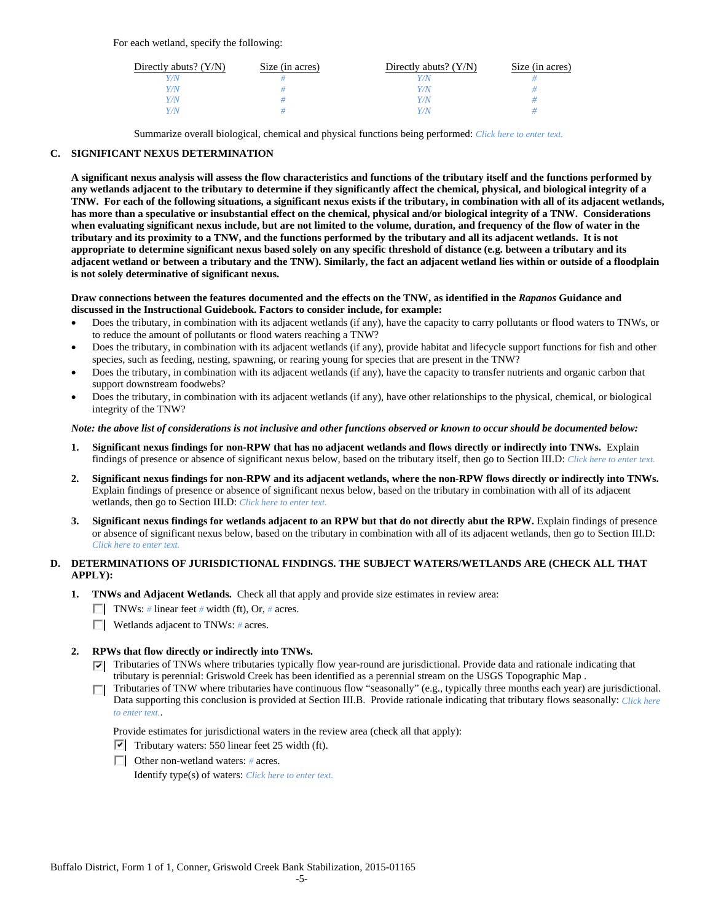| Directly abuts? $(Y/N)$ | Size (in acres) | Directly abuts? $(Y/N)$ | Size (in acres) |
|-------------------------|-----------------|-------------------------|-----------------|
| V/N                     |                 |                         |                 |
| Y/N                     |                 | $^{\prime}$ /N          |                 |
| Y/N                     |                 | 77N                     |                 |
| Y/N.                    |                 | 77N                     |                 |

Summarize overall biological, chemical and physical functions being performed: *Click here to enter text.*

# **C. SIGNIFICANT NEXUS DETERMINATION**

**A significant nexus analysis will assess the flow characteristics and functions of the tributary itself and the functions performed by any wetlands adjacent to the tributary to determine if they significantly affect the chemical, physical, and biological integrity of a TNW. For each of the following situations, a significant nexus exists if the tributary, in combination with all of its adjacent wetlands, has more than a speculative or insubstantial effect on the chemical, physical and/or biological integrity of a TNW. Considerations when evaluating significant nexus include, but are not limited to the volume, duration, and frequency of the flow of water in the tributary and its proximity to a TNW, and the functions performed by the tributary and all its adjacent wetlands. It is not appropriate to determine significant nexus based solely on any specific threshold of distance (e.g. between a tributary and its adjacent wetland or between a tributary and the TNW). Similarly, the fact an adjacent wetland lies within or outside of a floodplain is not solely determinative of significant nexus.** 

#### **Draw connections between the features documented and the effects on the TNW, as identified in the** *Rapanos* **Guidance and discussed in the Instructional Guidebook. Factors to consider include, for example:**

- Does the tributary, in combination with its adjacent wetlands (if any), have the capacity to carry pollutants or flood waters to TNWs, or to reduce the amount of pollutants or flood waters reaching a TNW?
- Does the tributary, in combination with its adjacent wetlands (if any), provide habitat and lifecycle support functions for fish and other species, such as feeding, nesting, spawning, or rearing young for species that are present in the TNW?
- Does the tributary, in combination with its adjacent wetlands (if any), have the capacity to transfer nutrients and organic carbon that support downstream foodwebs?
- Does the tributary, in combination with its adjacent wetlands (if any), have other relationships to the physical, chemical, or biological integrity of the TNW?

#### *Note: the above list of considerations is not inclusive and other functions observed or known to occur should be documented below:*

- **1. Significant nexus findings for non-RPW that has no adjacent wetlands and flows directly or indirectly into TNWs.** Explain findings of presence or absence of significant nexus below, based on the tributary itself, then go to Section III.D: *Click here to enter text.*
- **2. Significant nexus findings for non-RPW and its adjacent wetlands, where the non-RPW flows directly or indirectly into TNWs.**  Explain findings of presence or absence of significant nexus below, based on the tributary in combination with all of its adjacent wetlands, then go to Section III.D: *Click here to enter text.*
- **3. Significant nexus findings for wetlands adjacent to an RPW but that do not directly abut the RPW.** Explain findings of presence or absence of significant nexus below, based on the tributary in combination with all of its adjacent wetlands, then go to Section III.D: *Click here to enter text.*

# **D. DETERMINATIONS OF JURISDICTIONAL FINDINGS. THE SUBJECT WATERS/WETLANDS ARE (CHECK ALL THAT APPLY):**

- **1. TNWs and Adjacent Wetlands.** Check all that apply and provide size estimates in review area:
	- TNWs: *#* linear feet *#* width (ft), Or, *#* acres.
	- Wetlands adjacent to TNWs: *#* acres.

#### **2. RPWs that flow directly or indirectly into TNWs.**

- Tributaries of TNWs where tributaries typically flow year-round are jurisdictional. Provide data and rationale indicating that tributary is perennial: Griswold Creek has been identified as a perennial stream on the USGS Topographic Map .
- Tributaries of TNW where tributaries have continuous flow "seasonally" (e.g., typically three months each year) are jurisdictional. П. Data supporting this conclusion is provided at Section III.B. Provide rationale indicating that tributary flows seasonally: *Click here to enter text.*.

Provide estimates for jurisdictional waters in the review area (check all that apply):

- $\triangledown$  Tributary waters: 550 linear feet 25 width (ft).
- Other non-wetland waters: *#* acres.

Identify type(s) of waters: *Click here to enter text.*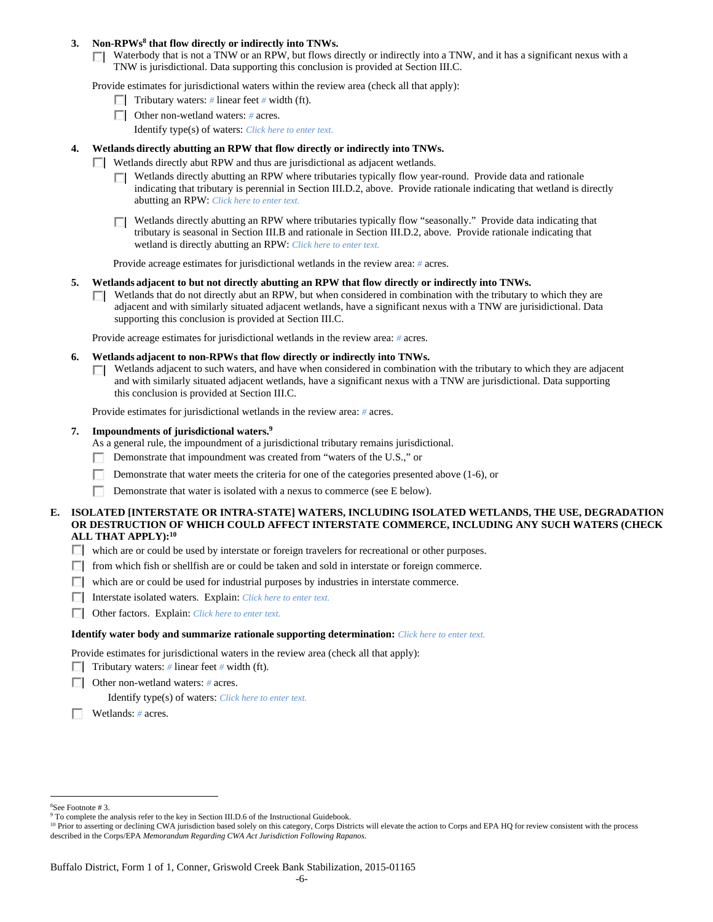### 3. Non-RPWs<sup>8</sup> that flow directly or indirectly into TNWs.

Waterbody that is not a TNW or an RPW, but flows directly or indirectly into a TNW, and it has a significant nexus with a TNW is jurisdictional. Data supporting this conclusion is provided at Section III.C.

Provide estimates for jurisdictional waters within the review area (check all that apply):

- **Tributary waters:** # linear feet # width (ft).
- Other non-wetland waters: *#* acres.
	- Identify type(s) of waters: *Click here to enter text.*

# **4. Wetlands directly abutting an RPW that flow directly or indirectly into TNWs.**

- **Wetlands directly abut RPW and thus are jurisdictional as adjacent wetlands.** 
	- Wetlands directly abutting an RPW where tributaries typically flow year-round. Provide data and rationale indicating that tributary is perennial in Section III.D.2, above. Provide rationale indicating that wetland is directly abutting an RPW: *Click here to enter text.*
	- Wetlands directly abutting an RPW where tributaries typically flow "seasonally." Provide data indicating that П tributary is seasonal in Section III.B and rationale in Section III.D.2, above. Provide rationale indicating that wetland is directly abutting an RPW: *Click here to enter text.*

Provide acreage estimates for jurisdictional wetlands in the review area: *#* acres.

- **5. Wetlands adjacent to but not directly abutting an RPW that flow directly or indirectly into TNWs.** 
	- $\Box$  Wetlands that do not directly abut an RPW, but when considered in combination with the tributary to which they are adjacent and with similarly situated adjacent wetlands, have a significant nexus with a TNW are jurisidictional. Data supporting this conclusion is provided at Section III.C.

Provide acreage estimates for jurisdictional wetlands in the review area: *#* acres.

- **6. Wetlands adjacent to non-RPWs that flow directly or indirectly into TNWs.** 
	- Wetlands adjacent to such waters, and have when considered in combination with the tributary to which they are adjacent  $\Box$ and with similarly situated adjacent wetlands, have a significant nexus with a TNW are jurisdictional. Data supporting this conclusion is provided at Section III.C.

Provide estimates for jurisdictional wetlands in the review area: *#* acres.

#### **7. Impoundments of jurisdictional waters.9**

As a general rule, the impoundment of a jurisdictional tributary remains jurisdictional.

- Demonstrate that impoundment was created from "waters of the U.S.," or
- Demonstrate that water meets the criteria for one of the categories presented above (1-6), or
- Demonstrate that water is isolated with a nexus to commerce (see E below).

### **E. ISOLATED [INTERSTATE OR INTRA-STATE] WATERS, INCLUDING ISOLATED WETLANDS, THE USE, DEGRADATION OR DESTRUCTION OF WHICH COULD AFFECT INTERSTATE COMMERCE, INCLUDING ANY SUCH WATERS (CHECK ALL THAT APPLY):10**

- which are or could be used by interstate or foreign travelers for recreational or other purposes.
- $\Box$  from which fish or shellfish are or could be taken and sold in interstate or foreign commerce.
- $\Box$  which are or could be used for industrial purposes by industries in interstate commerce.
- Interstate isolated waters.Explain: *Click here to enter text.*
- Other factors.Explain: *Click here to enter text.*

#### **Identify water body and summarize rationale supporting determination:** *Click here to enter text.*

Provide estimates for jurisdictional waters in the review area (check all that apply):

- **Tributary waters:** # linear feet # width (ft).
- Other non-wetland waters: *#* acres.

Identify type(s) of waters: *Click here to enter text.*

Wetlands: *#* acres.

 $\overline{a}$ 8 See Footnote # 3.

<sup>&</sup>lt;sup>9</sup> To complete the analysis refer to the key in Section III.D.6 of the Instructional Guidebook.

<sup>&</sup>lt;sup>10</sup> Prior to asserting or declining CWA jurisdiction based solely on this category, Corps Districts will elevate the action to Corps and EPA HQ for review consistent with the process described in the Corps/EPA *Memorandum Regarding CWA Act Jurisdiction Following Rapanos.*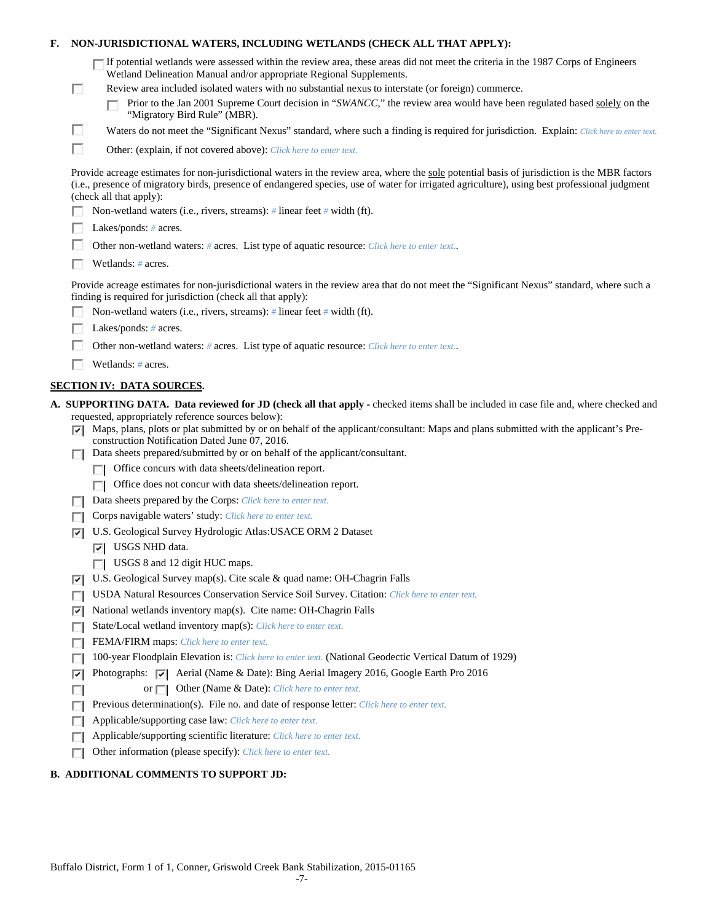| F. |        | NON-JURISDICTIONAL WATERS, INCLUDING WETLANDS (CHECK ALL THAT APPLY):                                                                                                                                                                                                                                                                                                                                                                                                     |
|----|--------|---------------------------------------------------------------------------------------------------------------------------------------------------------------------------------------------------------------------------------------------------------------------------------------------------------------------------------------------------------------------------------------------------------------------------------------------------------------------------|
|    | П      | If potential wetlands were assessed within the review area, these areas did not meet the criteria in the 1987 Corps of Engineers<br>Wetland Delineation Manual and/or appropriate Regional Supplements.<br>Review area included isolated waters with no substantial nexus to interstate (or foreign) commerce.<br>Prior to the Jan 2001 Supreme Court decision in "SWANCC," the review area would have been regulated based solely on the<br>"Migratory Bird Rule" (MBR). |
|    | ш      | Waters do not meet the "Significant Nexus" standard, where such a finding is required for jurisdiction. Explain: Click here to enter text.                                                                                                                                                                                                                                                                                                                                |
|    | п      | Other: (explain, if not covered above): Click here to enter text.                                                                                                                                                                                                                                                                                                                                                                                                         |
|    |        | Provide acreage estimates for non-jurisdictional waters in the review area, where the sole potential basis of jurisdiction is the MBR factors<br>(i.e., presence of migratory birds, presence of endangered species, use of water for irrigated agriculture), using best professional judgment<br>(check all that apply):                                                                                                                                                 |
|    |        | Non-wetland waters (i.e., rivers, streams): # linear feet # width (ft).                                                                                                                                                                                                                                                                                                                                                                                                   |
|    |        | Lakes/ponds: $# \, \text{acres.}$                                                                                                                                                                                                                                                                                                                                                                                                                                         |
|    |        | Other non-wetland waters: # acres. List type of aquatic resource: Click here to enter text                                                                                                                                                                                                                                                                                                                                                                                |
|    |        | Wetlands: # acres.                                                                                                                                                                                                                                                                                                                                                                                                                                                        |
|    |        | Provide acreage estimates for non-jurisdictional waters in the review area that do not meet the "Significant Nexus" standard, where such a<br>finding is required for jurisdiction (check all that apply):                                                                                                                                                                                                                                                                |
|    |        | Non-wetland waters (i.e., rivers, streams): $\#$ linear feet $\#$ width (ft).                                                                                                                                                                                                                                                                                                                                                                                             |
|    |        | Lakes/ponds: $# \, \text{acres.}$                                                                                                                                                                                                                                                                                                                                                                                                                                         |
|    |        | Other non-wetland waters: # acres. List type of aquatic resource: Click here to enter text                                                                                                                                                                                                                                                                                                                                                                                |
|    |        | Wetlands: # acres.                                                                                                                                                                                                                                                                                                                                                                                                                                                        |
|    |        | <b>SECTION IV: DATA SOURCES.</b>                                                                                                                                                                                                                                                                                                                                                                                                                                          |
|    | 罓      | A. SUPPORTING DATA. Data reviewed for JD (check all that apply - checked items shall be included in case file and, where checked and<br>requested, appropriately reference sources below):<br>Maps, plans, plots or plat submitted by or on behalf of the applicant/consultant: Maps and plans submitted with the applicant's Pre-<br>construction Notification Dated June 07, 2016.                                                                                      |
|    |        | Data sheets prepared/submitted by or on behalf of the applicant/consultant.                                                                                                                                                                                                                                                                                                                                                                                               |
|    |        | Office concurs with data sheets/delineation report.                                                                                                                                                                                                                                                                                                                                                                                                                       |
|    |        | Office does not concur with data sheets/delineation report.                                                                                                                                                                                                                                                                                                                                                                                                               |
|    |        | Data sheets prepared by the Corps: Click here to enter text.                                                                                                                                                                                                                                                                                                                                                                                                              |
|    |        | Corps navigable waters' study: Click here to enter text.                                                                                                                                                                                                                                                                                                                                                                                                                  |
|    | ⊽      | U.S. Geological Survey Hydrologic Atlas: USACE ORM 2 Dataset                                                                                                                                                                                                                                                                                                                                                                                                              |
|    |        | USGS NHD data.<br>罓                                                                                                                                                                                                                                                                                                                                                                                                                                                       |
|    |        | USGS 8 and 12 digit HUC maps.                                                                                                                                                                                                                                                                                                                                                                                                                                             |
|    | ⊽      | U.S. Geological Survey map(s). Cite scale & quad name: OH-Chagrin Falls                                                                                                                                                                                                                                                                                                                                                                                                   |
|    | ш      | USDA Natural Resources Conservation Service Soil Survey. Citation: Click here to enter text.                                                                                                                                                                                                                                                                                                                                                                              |
|    | ⊽      | National wetlands inventory map(s). Cite name: OH-Chagrin Falls                                                                                                                                                                                                                                                                                                                                                                                                           |
|    | г      | State/Local wetland inventory map(s): Click here to enter text.                                                                                                                                                                                                                                                                                                                                                                                                           |
|    | п      | FEMA/FIRM maps: Click here to enter text.                                                                                                                                                                                                                                                                                                                                                                                                                                 |
|    | г<br>⊽ | 100-year Floodplain Elevation is: Click here to enter text. (National Geodectic Vertical Datum of 1929)                                                                                                                                                                                                                                                                                                                                                                   |
|    | п      | Photographs: $\sqrt{ }$ Aerial (Name & Date): Bing Aerial Imagery 2016, Google Earth Pro 2016<br>Other (Name & Date): Click here to enter text.<br>or $\Box$                                                                                                                                                                                                                                                                                                              |
|    |        | Previous determination(s). File no. and date of response letter: Click here to enter text.                                                                                                                                                                                                                                                                                                                                                                                |
|    |        | Applicable/supporting case law: Click here to enter text.                                                                                                                                                                                                                                                                                                                                                                                                                 |
|    | г      | Applicable/supporting scientific literature: Click here to enter text.                                                                                                                                                                                                                                                                                                                                                                                                    |

# **B. ADDITIONAL COMMENTS TO SUPPORT JD:**